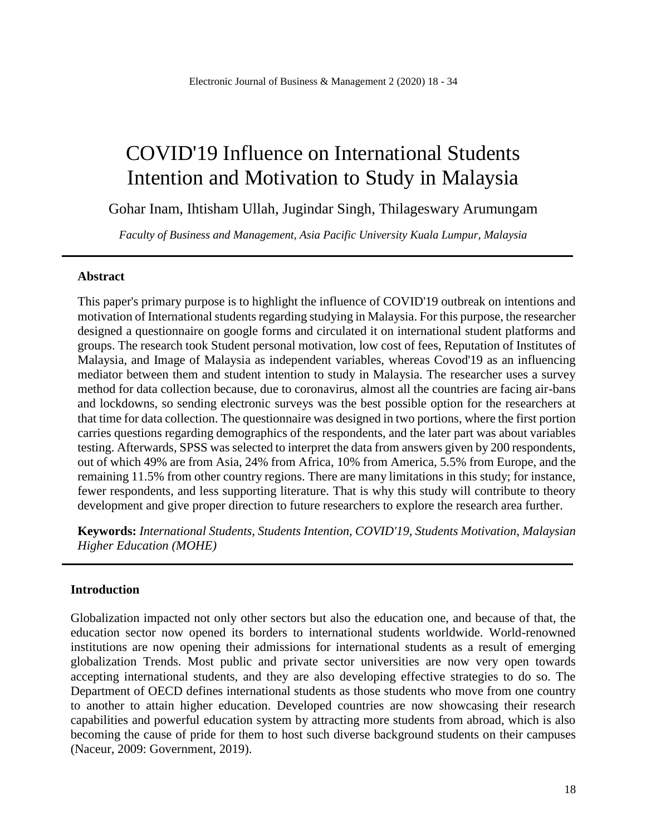# COVID'19 Influence on International Students Intention and Motivation to Study in Malaysia

Gohar Inam, Ihtisham Ullah, Jugindar Singh, Thilageswary Arumungam

*Faculty of Business and Management, Asia Pacific University Kuala Lumpur, Malaysia*

#### **Abstract**

This paper's primary purpose is to highlight the influence of COVID'19 outbreak on intentions and motivation of International students regarding studying in Malaysia. For this purpose, the researcher designed a questionnaire on google forms and circulated it on international student platforms and groups. The research took Student personal motivation, low cost of fees, Reputation of Institutes of Malaysia, and Image of Malaysia as independent variables, whereas Covod'19 as an influencing mediator between them and student intention to study in Malaysia. The researcher uses a survey method for data collection because, due to coronavirus, almost all the countries are facing air-bans and lockdowns, so sending electronic surveys was the best possible option for the researchers at that time for data collection. The questionnaire was designed in two portions, where the first portion carries questions regarding demographics of the respondents, and the later part was about variables testing. Afterwards, SPSS was selected to interpret the data from answers given by 200 respondents, out of which 49% are from Asia, 24% from Africa, 10% from America, 5.5% from Europe, and the remaining 11.5% from other country regions. There are many limitations in this study; for instance, fewer respondents, and less supporting literature. That is why this study will contribute to theory development and give proper direction to future researchers to explore the research area further.

**Keywords:** *International Students, Students Intention, COVID'19, Students Motivation, Malaysian Higher Education (MOHE)*

#### **Introduction**

Globalization impacted not only other sectors but also the education one, and because of that, the education sector now opened its borders to international students worldwide. World-renowned institutions are now opening their admissions for international students as a result of emerging globalization Trends. Most public and private sector universities are now very open towards accepting international students, and they are also developing effective strategies to do so. The Department of OECD defines international students as those students who move from one country to another to attain higher education. Developed countries are now showcasing their research capabilities and powerful education system by attracting more students from abroad, which is also becoming the cause of pride for them to host such diverse background students on their campuses (Naceur, 2009: Government, 2019).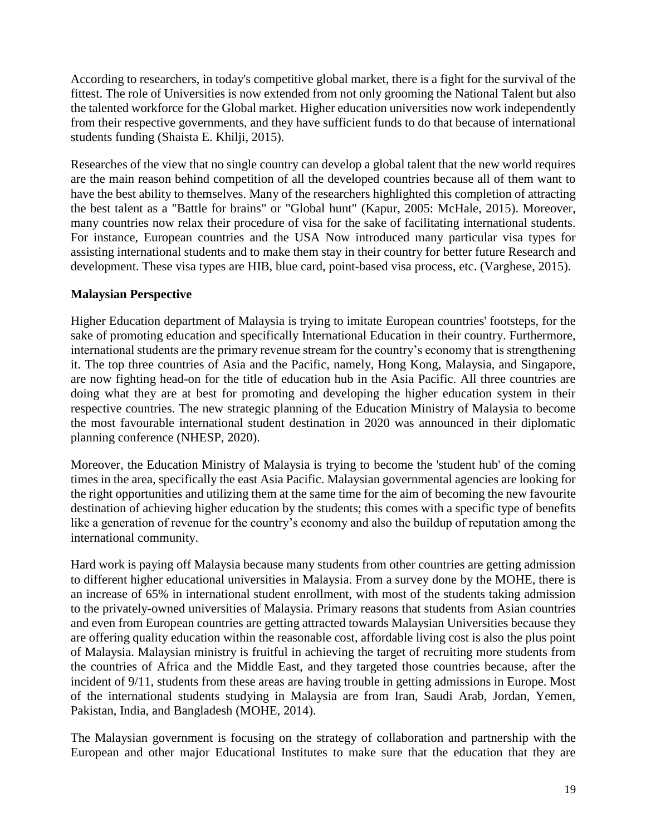According to researchers, in today's competitive global market, there is a fight for the survival of the fittest. The role of Universities is now extended from not only grooming the National Talent but also the talented workforce for the Global market. Higher education universities now work independently from their respective governments, and they have sufficient funds to do that because of international students funding (Shaista E. Khilji, 2015).

Researches of the view that no single country can develop a global talent that the new world requires are the main reason behind competition of all the developed countries because all of them want to have the best ability to themselves. Many of the researchers highlighted this completion of attracting the best talent as a "Battle for brains" or "Global hunt" (Kapur, 2005: McHale, 2015). Moreover, many countries now relax their procedure of visa for the sake of facilitating international students. For instance, European countries and the USA Now introduced many particular visa types for assisting international students and to make them stay in their country for better future Research and development. These visa types are HIB, blue card, point-based visa process, etc. (Varghese, 2015).

## **Malaysian Perspective**

Higher Education department of Malaysia is trying to imitate European countries' footsteps, for the sake of promoting education and specifically International Education in their country. Furthermore, international students are the primary revenue stream for the country's economy that is strengthening it. The top three countries of Asia and the Pacific, namely, Hong Kong, Malaysia, and Singapore, are now fighting head-on for the title of education hub in the Asia Pacific. All three countries are doing what they are at best for promoting and developing the higher education system in their respective countries. The new strategic planning of the Education Ministry of Malaysia to become the most favourable international student destination in 2020 was announced in their diplomatic planning conference (NHESP, 2020).

Moreover, the Education Ministry of Malaysia is trying to become the 'student hub' of the coming times in the area, specifically the east Asia Pacific. Malaysian governmental agencies are looking for the right opportunities and utilizing them at the same time for the aim of becoming the new favourite destination of achieving higher education by the students; this comes with a specific type of benefits like a generation of revenue for the country's economy and also the buildup of reputation among the international community.

Hard work is paying off Malaysia because many students from other countries are getting admission to different higher educational universities in Malaysia. From a survey done by the MOHE, there is an increase of 65% in international student enrollment, with most of the students taking admission to the privately-owned universities of Malaysia. Primary reasons that students from Asian countries and even from European countries are getting attracted towards Malaysian Universities because they are offering quality education within the reasonable cost, affordable living cost is also the plus point of Malaysia. Malaysian ministry is fruitful in achieving the target of recruiting more students from the countries of Africa and the Middle East, and they targeted those countries because, after the incident of 9/11, students from these areas are having trouble in getting admissions in Europe. Most of the international students studying in Malaysia are from Iran, Saudi Arab, Jordan, Yemen, Pakistan, India, and Bangladesh (MOHE, 2014).

The Malaysian government is focusing on the strategy of collaboration and partnership with the European and other major Educational Institutes to make sure that the education that they are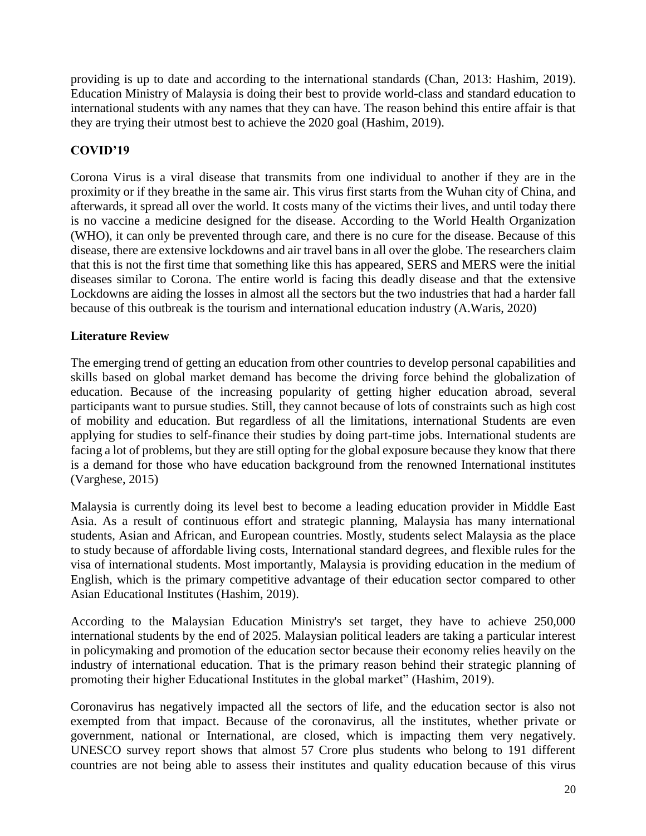providing is up to date and according to the international standards (Chan, 2013: Hashim, 2019). Education Ministry of Malaysia is doing their best to provide world-class and standard education to international students with any names that they can have. The reason behind this entire affair is that they are trying their utmost best to achieve the 2020 goal (Hashim, 2019).

# **COVID'19**

Corona Virus is a viral disease that transmits from one individual to another if they are in the proximity or if they breathe in the same air. This virus first starts from the Wuhan city of China, and afterwards, it spread all over the world. It costs many of the victims their lives, and until today there is no vaccine a medicine designed for the disease. According to the World Health Organization (WHO), it can only be prevented through care, and there is no cure for the disease. Because of this disease, there are extensive lockdowns and air travel bans in all over the globe. The researchers claim that this is not the first time that something like this has appeared, SERS and MERS were the initial diseases similar to Corona. The entire world is facing this deadly disease and that the extensive Lockdowns are aiding the losses in almost all the sectors but the two industries that had a harder fall because of this outbreak is the tourism and international education industry (A.Waris, 2020)

# **Literature Review**

The emerging trend of getting an education from other countries to develop personal capabilities and skills based on global market demand has become the driving force behind the globalization of education. Because of the increasing popularity of getting higher education abroad, several participants want to pursue studies. Still, they cannot because of lots of constraints such as high cost of mobility and education. But regardless of all the limitations, international Students are even applying for studies to self-finance their studies by doing part-time jobs. International students are facing a lot of problems, but they are still opting for the global exposure because they know that there is a demand for those who have education background from the renowned International institutes (Varghese, 2015)

Malaysia is currently doing its level best to become a leading education provider in Middle East Asia. As a result of continuous effort and strategic planning, Malaysia has many international students, Asian and African, and European countries. Mostly, students select Malaysia as the place to study because of affordable living costs, International standard degrees, and flexible rules for the visa of international students. Most importantly, Malaysia is providing education in the medium of English, which is the primary competitive advantage of their education sector compared to other Asian Educational Institutes (Hashim, 2019).

According to the Malaysian Education Ministry's set target, they have to achieve 250,000 international students by the end of 2025. Malaysian political leaders are taking a particular interest in policymaking and promotion of the education sector because their economy relies heavily on the industry of international education. That is the primary reason behind their strategic planning of promoting their higher Educational Institutes in the global market" (Hashim, 2019).

Coronavirus has negatively impacted all the sectors of life, and the education sector is also not exempted from that impact. Because of the coronavirus, all the institutes, whether private or government, national or International, are closed, which is impacting them very negatively. UNESCO survey report shows that almost 57 Crore plus students who belong to 191 different countries are not being able to assess their institutes and quality education because of this virus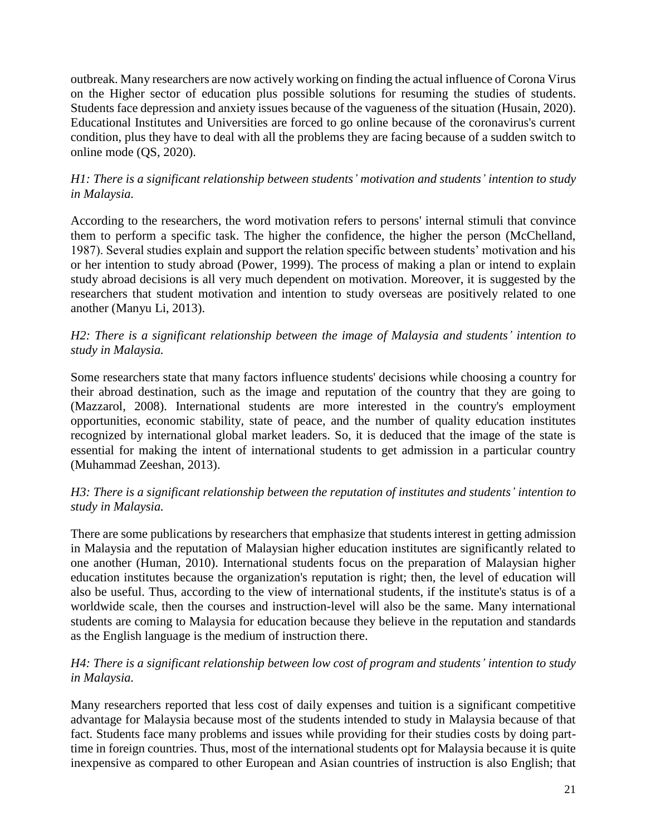outbreak. Many researchers are now actively working on finding the actual influence of Corona Virus on the Higher sector of education plus possible solutions for resuming the studies of students. Students face depression and anxiety issues because of the vagueness of the situation (Husain, 2020). Educational Institutes and Universities are forced to go online because of the coronavirus's current condition, plus they have to deal with all the problems they are facing because of a sudden switch to online mode (QS, 2020).

## *H1: There is a significant relationship between students' motivation and students' intention to study in Malaysia.*

According to the researchers, the word motivation refers to persons' internal stimuli that convince them to perform a specific task. The higher the confidence, the higher the person (McChelland, 1987). Several studies explain and support the relation specific between students' motivation and his or her intention to study abroad (Power, 1999). The process of making a plan or intend to explain study abroad decisions is all very much dependent on motivation. Moreover, it is suggested by the researchers that student motivation and intention to study overseas are positively related to one another (Manyu Li, 2013).

## *H2: There is a significant relationship between the image of Malaysia and students' intention to study in Malaysia.*

Some researchers state that many factors influence students' decisions while choosing a country for their abroad destination, such as the image and reputation of the country that they are going to (Mazzarol, 2008). International students are more interested in the country's employment opportunities, economic stability, state of peace, and the number of quality education institutes recognized by international global market leaders. So, it is deduced that the image of the state is essential for making the intent of international students to get admission in a particular country (Muhammad Zeeshan, 2013).

## *H3: There is a significant relationship between the reputation of institutes and students' intention to study in Malaysia.*

There are some publications by researchers that emphasize that students interest in getting admission in Malaysia and the reputation of Malaysian higher education institutes are significantly related to one another (Human, 2010). International students focus on the preparation of Malaysian higher education institutes because the organization's reputation is right; then, the level of education will also be useful. Thus, according to the view of international students, if the institute's status is of a worldwide scale, then the courses and instruction-level will also be the same. Many international students are coming to Malaysia for education because they believe in the reputation and standards as the English language is the medium of instruction there.

## *H4: There is a significant relationship between low cost of program and students' intention to study in Malaysia.*

Many researchers reported that less cost of daily expenses and tuition is a significant competitive advantage for Malaysia because most of the students intended to study in Malaysia because of that fact. Students face many problems and issues while providing for their studies costs by doing parttime in foreign countries. Thus, most of the international students opt for Malaysia because it is quite inexpensive as compared to other European and Asian countries of instruction is also English; that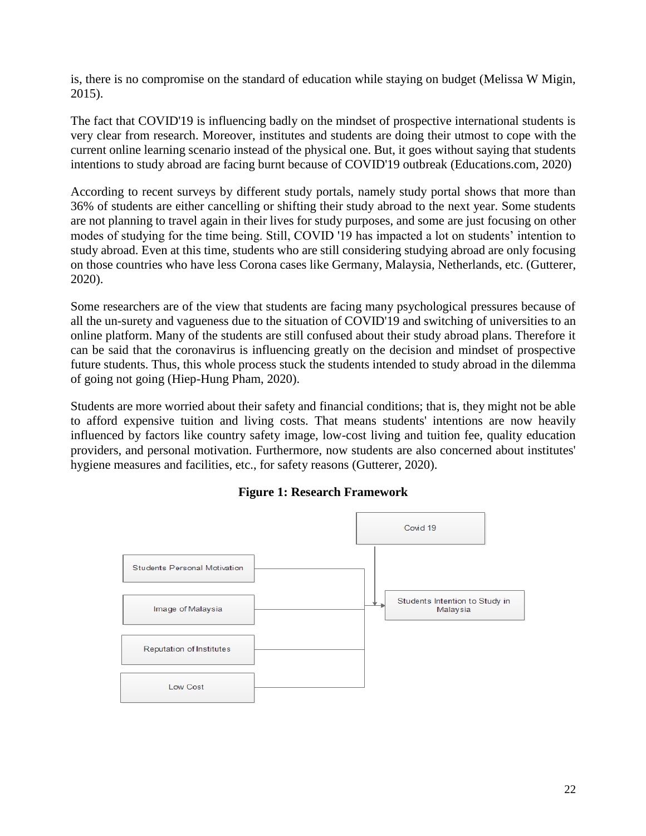is, there is no compromise on the standard of education while staying on budget (Melissa W Migin, 2015).

The fact that COVID'19 is influencing badly on the mindset of prospective international students is very clear from research. Moreover, institutes and students are doing their utmost to cope with the current online learning scenario instead of the physical one. But, it goes without saying that students intentions to study abroad are facing burnt because of COVID'19 outbreak (Educations.com, 2020)

According to recent surveys by different study portals, namely study portal shows that more than 36% of students are either cancelling or shifting their study abroad to the next year. Some students are not planning to travel again in their lives for study purposes, and some are just focusing on other modes of studying for the time being. Still, COVID '19 has impacted a lot on students' intention to study abroad. Even at this time, students who are still considering studying abroad are only focusing on those countries who have less Corona cases like Germany, Malaysia, Netherlands, etc. (Gutterer, 2020).

Some researchers are of the view that students are facing many psychological pressures because of all the un-surety and vagueness due to the situation of COVID'19 and switching of universities to an online platform. Many of the students are still confused about their study abroad plans. Therefore it can be said that the coronavirus is influencing greatly on the decision and mindset of prospective future students. Thus, this whole process stuck the students intended to study abroad in the dilemma of going not going (Hiep-Hung Pham, 2020).

Students are more worried about their safety and financial conditions; that is, they might not be able to afford expensive tuition and living costs. That means students' intentions are now heavily influenced by factors like country safety image, low-cost living and tuition fee, quality education providers, and personal motivation. Furthermore, now students are also concerned about institutes' hygiene measures and facilities, etc., for safety reasons (Gutterer, 2020).



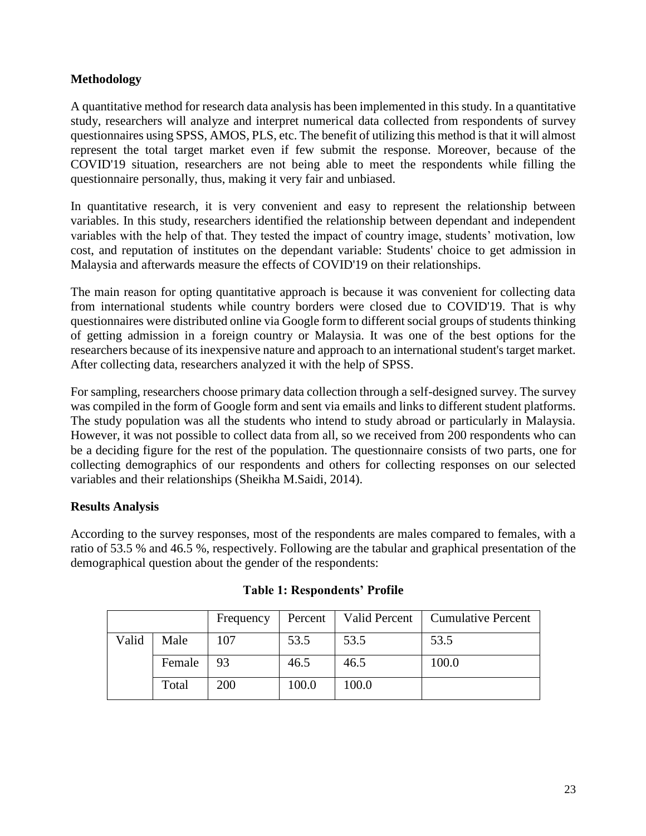## **Methodology**

A quantitative method for research data analysis has been implemented in this study. In a quantitative study, researchers will analyze and interpret numerical data collected from respondents of survey questionnaires using SPSS, AMOS, PLS, etc. The benefit of utilizing this method is that it will almost represent the total target market even if few submit the response. Moreover, because of the COVID'19 situation, researchers are not being able to meet the respondents while filling the questionnaire personally, thus, making it very fair and unbiased.

In quantitative research, it is very convenient and easy to represent the relationship between variables. In this study, researchers identified the relationship between dependant and independent variables with the help of that. They tested the impact of country image, students' motivation, low cost, and reputation of institutes on the dependant variable: Students' choice to get admission in Malaysia and afterwards measure the effects of COVID'19 on their relationships.

The main reason for opting quantitative approach is because it was convenient for collecting data from international students while country borders were closed due to COVID'19. That is why questionnaires were distributed online via Google form to different social groups of students thinking of getting admission in a foreign country or Malaysia. It was one of the best options for the researchers because of its inexpensive nature and approach to an international student's target market. After collecting data, researchers analyzed it with the help of SPSS.

For sampling, researchers choose primary data collection through a self-designed survey. The survey was compiled in the form of Google form and sent via emails and links to different student platforms. The study population was all the students who intend to study abroad or particularly in Malaysia. However, it was not possible to collect data from all, so we received from 200 respondents who can be a deciding figure for the rest of the population. The questionnaire consists of two parts, one for collecting demographics of our respondents and others for collecting responses on our selected variables and their relationships (Sheikha M.Saidi, 2014).

## **Results Analysis**

According to the survey responses, most of the respondents are males compared to females, with a ratio of 53.5 % and 46.5 %, respectively. Following are the tabular and graphical presentation of the demographical question about the gender of the respondents:

|       |        | Frequency | Percent | <b>Valid Percent</b> | <b>Cumulative Percent</b> |
|-------|--------|-----------|---------|----------------------|---------------------------|
| Valid | Male   | 107       | 53.5    | 53.5                 | 53.5                      |
|       | Female | 93        | 46.5    | 46.5                 | 100.0                     |
|       | Total  | 200       | 100.0   | 100.0                |                           |

#### **Table 1: Respondents' Profile**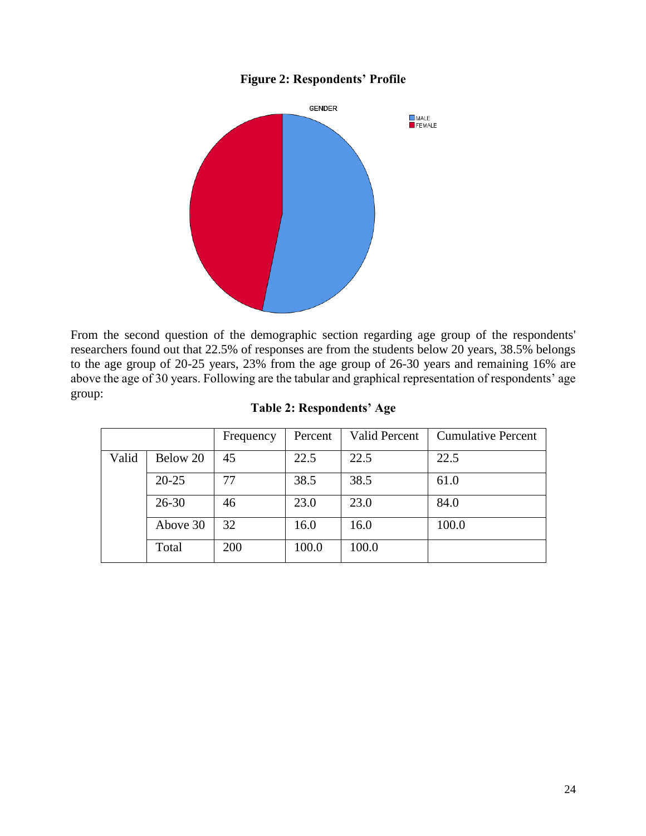## **Figure 2: Respondents' Profile**



From the second question of the demographic section regarding age group of the respondents' researchers found out that 22.5% of responses are from the students below 20 years, 38.5% belongs to the age group of 20-25 years, 23% from the age group of 26-30 years and remaining 16% are above the age of 30 years. Following are the tabular and graphical representation of respondents' age group:

**Table 2: Respondents' Age**

|       |           | Frequency | Percent | <b>Valid Percent</b> | <b>Cumulative Percent</b> |
|-------|-----------|-----------|---------|----------------------|---------------------------|
| Valid | Below 20  | 45        | 22.5    | 22.5                 | 22.5                      |
|       | $20 - 25$ | 77        | 38.5    | 38.5                 | 61.0                      |
|       | $26 - 30$ | 46        | 23.0    | 23.0                 | 84.0                      |
|       | Above 30  | 32        | 16.0    | 16.0                 | 100.0                     |
|       | Total     | 200       | 100.0   | 100.0                |                           |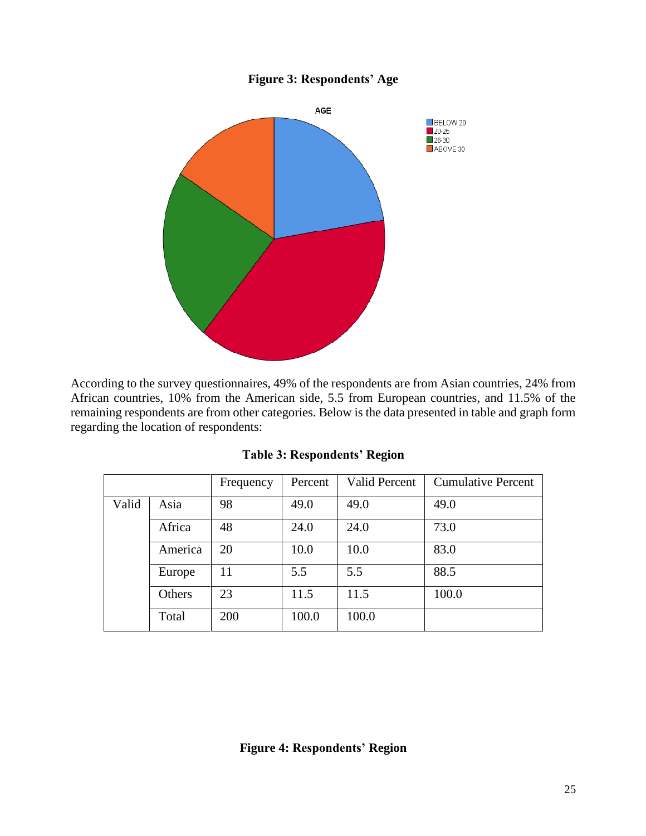## **Figure 3: Respondents' Age**



According to the survey questionnaires, 49% of the respondents are from Asian countries, 24% from African countries, 10% from the American side, 5.5 from European countries, and 11.5% of the remaining respondents are from other categories. Below is the data presented in table and graph form regarding the location of respondents:

|       |         | Frequency | Percent | <b>Valid Percent</b> | <b>Cumulative Percent</b> |
|-------|---------|-----------|---------|----------------------|---------------------------|
| Valid | Asia    | 98        | 49.0    | 49.0                 | 49.0                      |
|       | Africa  | 48        | 24.0    | 24.0                 | 73.0                      |
|       | America | 20        | 10.0    | 10.0                 | 83.0                      |
|       | Europe  | 11        | 5.5     | 5.5                  | 88.5                      |
|       | Others  | 23        | 11.5    | 11.5                 | 100.0                     |
|       | Total   | 200       | 100.0   | 100.0                |                           |

**Table 3: Respondents' Region**

**Figure 4: Respondents' Region**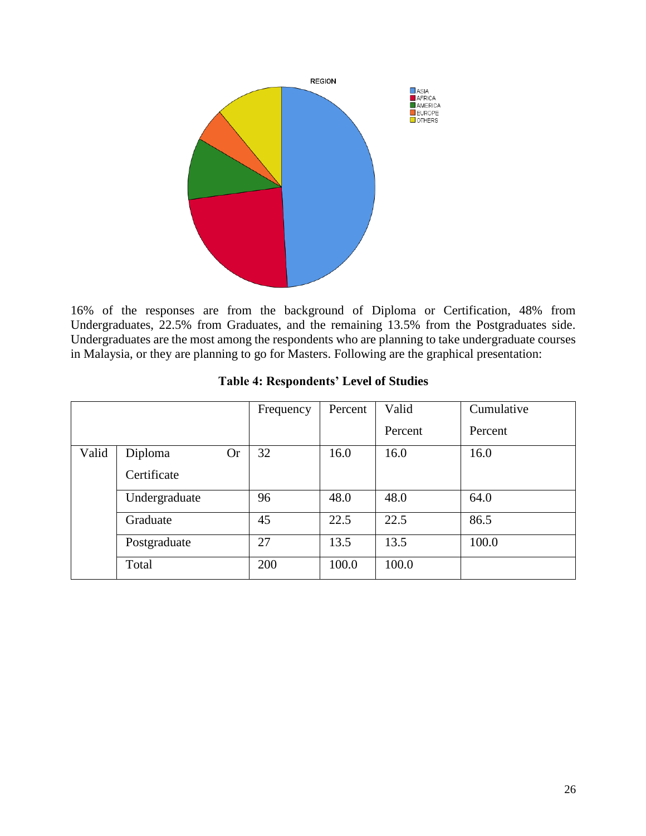

16% of the responses are from the background of Diploma or Certification, 48% from Undergraduates, 22.5% from Graduates, and the remaining 13.5% from the Postgraduates side. Undergraduates are the most among the respondents who are planning to take undergraduate courses in Malaysia, or they are planning to go for Masters. Following are the graphical presentation:

|       |                      | Frequency | Percent | Valid   | Cumulative |
|-------|----------------------|-----------|---------|---------|------------|
|       |                      |           |         | Percent | Percent    |
| Valid | Diploma<br><b>Or</b> | 32        | 16.0    | 16.0    | 16.0       |
|       | Certificate          |           |         |         |            |
|       | Undergraduate        | 96        | 48.0    | 48.0    | 64.0       |
|       | Graduate             | 45        | 22.5    | 22.5    | 86.5       |
|       | Postgraduate         | 27        | 13.5    | 13.5    | 100.0      |
|       | Total                | 200       | 100.0   | 100.0   |            |

#### **Table 4: Respondents' Level of Studies**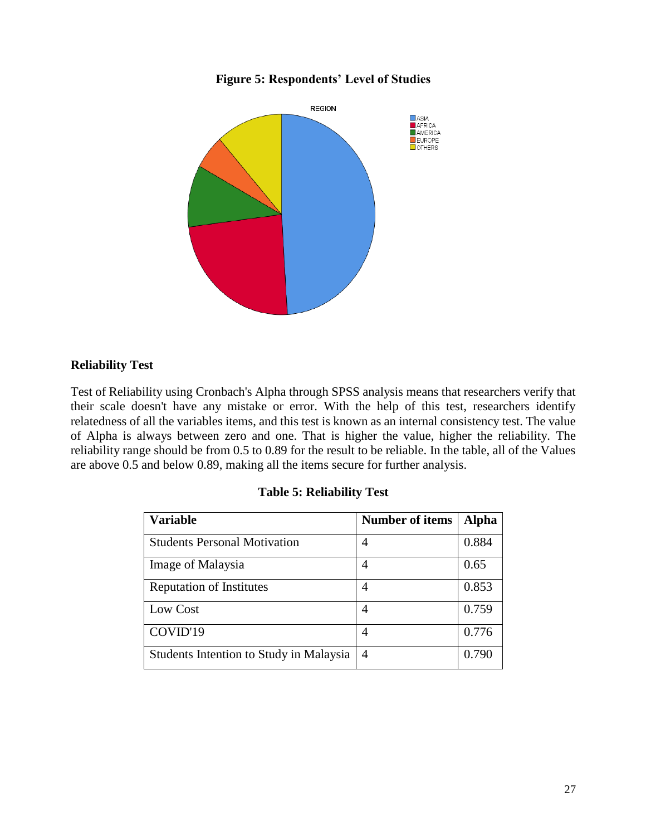## **Figure 5: Respondents' Level of Studies**



# **Reliability Test**

Test of Reliability using Cronbach's Alpha through SPSS analysis means that researchers verify that their scale doesn't have any mistake or error. With the help of this test, researchers identify relatedness of all the variables items, and this test is known as an internal consistency test. The value of Alpha is always between zero and one. That is higher the value, higher the reliability. The reliability range should be from 0.5 to 0.89 for the result to be reliable. In the table, all of the Values are above 0.5 and below 0.89, making all the items secure for further analysis.

| <b>Variable</b>                         | <b>Number of items</b> | <b>Alpha</b> |
|-----------------------------------------|------------------------|--------------|
| <b>Students Personal Motivation</b>     | 4                      | 0.884        |
| Image of Malaysia                       | $\overline{4}$         | 0.65         |
| <b>Reputation of Institutes</b>         | 4                      | 0.853        |
| Low Cost                                | 4                      | 0.759        |
| COVID'19                                | 4                      | 0.776        |
| Students Intention to Study in Malaysia | $\overline{4}$         | 0.790        |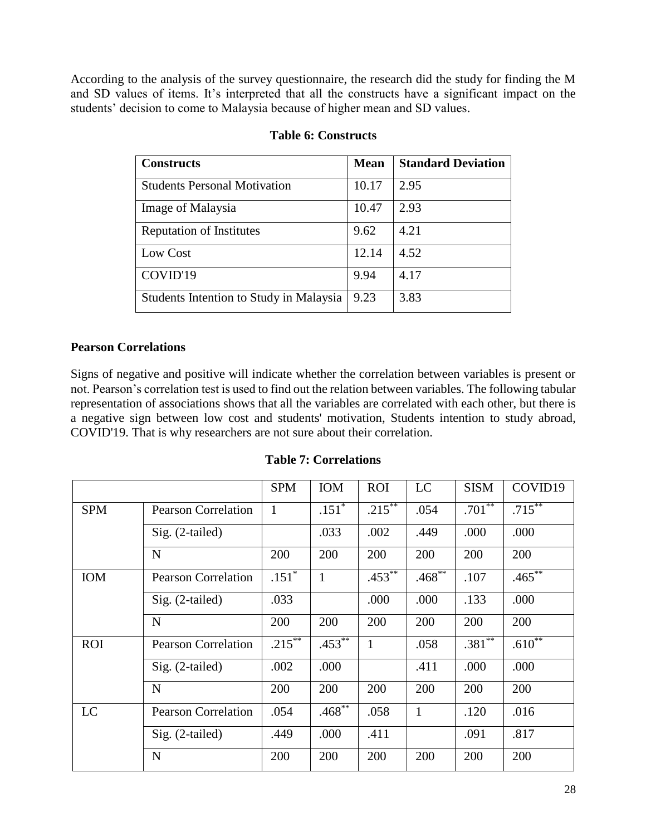According to the analysis of the survey questionnaire, the research did the study for finding the M and SD values of items. It's interpreted that all the constructs have a significant impact on the students' decision to come to Malaysia because of higher mean and SD values.

| <b>Constructs</b>                       | <b>Mean</b> | <b>Standard Deviation</b> |
|-----------------------------------------|-------------|---------------------------|
| <b>Students Personal Motivation</b>     | 10.17       | 2.95                      |
| Image of Malaysia                       | 10.47       | 2.93                      |
| <b>Reputation of Institutes</b>         | 9.62        | 4.21                      |
| Low Cost                                | 12.14       | 4.52                      |
| COVID'19                                | 9.94        | 4.17                      |
| Students Intention to Study in Malaysia | 9.23        | 3.83                      |

## **Table 6: Constructs**

### **Pearson Correlations**

Signs of negative and positive will indicate whether the correlation between variables is present or not. Pearson's correlation test is used to find out the relation between variables. The following tabular representation of associations shows that all the variables are correlated with each other, but there is a negative sign between low cost and students' motivation, Students intention to study abroad, COVID'19. That is why researchers are not sure about their correlation.

|            |                            | <b>SPM</b> | <b>IOM</b> | <b>ROI</b>           | LC           | <b>SISM</b> | COVID19                |
|------------|----------------------------|------------|------------|----------------------|--------------|-------------|------------------------|
| <b>SPM</b> | <b>Pearson Correlation</b> | 1          | $.151*$    | $.215***$            | .054         | $.701***$   | $.71\overline{5^{**}}$ |
|            | Sig. (2-tailed)            |            | .033       | .002                 | .449         | .000        | .000                   |
|            | N                          | 200        | 200        | 200                  | 200          | 200         | 200                    |
| <b>IOM</b> | <b>Pearson Correlation</b> | $.151*$    | 1          | $.453$ <sup>**</sup> | $.468***$    | .107        | $.465***$              |
|            | $Sig. (2-tailed)$          | .033       |            | .000                 | .000         | .133        | .000                   |
|            | N                          | 200        | 200        | 200                  | 200          | 200         | 200                    |
| <b>ROI</b> | <b>Pearson Correlation</b> | $.215***$  | $.453***$  | $\mathbf{1}$         | .058         | $.381**$    | $.610**$               |
|            | Sig. (2-tailed)            | .002       | .000       |                      | .411         | .000        | .000                   |
|            | N                          | 200        | 200        | 200                  | 200          | 200         | 200                    |
| LC         | <b>Pearson Correlation</b> | .054       | $.468***$  | .058                 | $\mathbf{1}$ | .120        | .016                   |
|            | Sig. (2-tailed)            | .449       | .000       | .411                 |              | .091        | .817                   |
|            | N                          | 200        | 200        | 200                  | 200          | 200         | 200                    |

#### **Table 7: Correlations**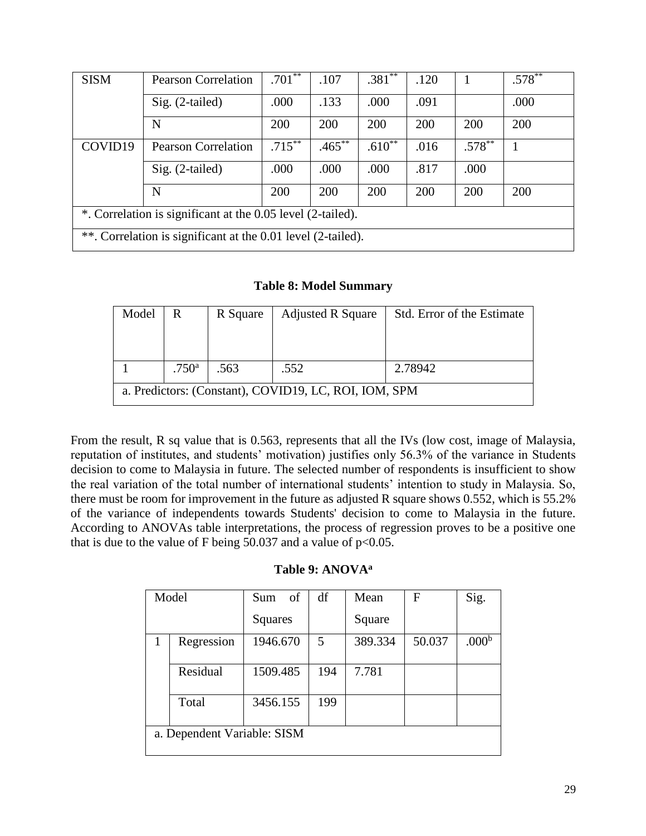| <b>SISM</b>                                                  | <b>Pearson Correlation</b> | $.701***$ | .107      | $.381**$ | .120 |           | $.578***$ |  |
|--------------------------------------------------------------|----------------------------|-----------|-----------|----------|------|-----------|-----------|--|
|                                                              | $Sig. (2-tailed)$          | .000      | .133      | .000     | .091 |           | .000      |  |
|                                                              | N                          | 200       | 200       | 200      | 200  | 200       | 200       |  |
| COVID19                                                      | <b>Pearson Correlation</b> | $.715***$ | $.465***$ | $.610**$ | .016 | $.578***$ |           |  |
|                                                              | $Sig. (2-tailed)$          | .000      | .000      | .000     | .817 | .000      |           |  |
|                                                              | N                          | 200       | 200       | 200      | 200  | 200       | 200       |  |
| *. Correlation is significant at the 0.05 level (2-tailed).  |                            |           |           |          |      |           |           |  |
| **. Correlation is significant at the 0.01 level (2-tailed). |                            |           |           |          |      |           |           |  |

**Table 8: Model Summary**

| Model                                                 | R                 | R Square | <b>Adjusted R Square</b> | Std. Error of the Estimate |  |  |  |
|-------------------------------------------------------|-------------------|----------|--------------------------|----------------------------|--|--|--|
|                                                       |                   |          |                          |                            |  |  |  |
|                                                       |                   |          |                          |                            |  |  |  |
|                                                       | .750 <sup>a</sup> | .563     | .552                     | 2.78942                    |  |  |  |
| a. Predictors: (Constant), COVID19, LC, ROI, IOM, SPM |                   |          |                          |                            |  |  |  |

From the result, R sq value that is 0.563, represents that all the IVs (low cost, image of Malaysia, reputation of institutes, and students' motivation) justifies only 56.3% of the variance in Students decision to come to Malaysia in future. The selected number of respondents is insufficient to show the real variation of the total number of international students' intention to study in Malaysia. So, there must be room for improvement in the future as adjusted R square shows 0.552, which is 55.2% of the variance of independents towards Students' decision to come to Malaysia in the future. According to ANOVAs table interpretations, the process of regression proves to be a positive one that is due to the value of F being 50.037 and a value of  $p<0.05$ .

## **Table 9: ANOVA<sup>a</sup>**

| Model                       | of<br>Sum | df  | Mean    | F      | Sig.              |  |  |
|-----------------------------|-----------|-----|---------|--------|-------------------|--|--|
|                             | Squares   |     | Square  |        |                   |  |  |
| Regression                  | 1946.670  | 5   | 389.334 | 50.037 | .000 <sup>b</sup> |  |  |
| Residual                    | 1509.485  | 194 | 7.781   |        |                   |  |  |
| Total                       | 3456.155  | 199 |         |        |                   |  |  |
| a. Dependent Variable: SISM |           |     |         |        |                   |  |  |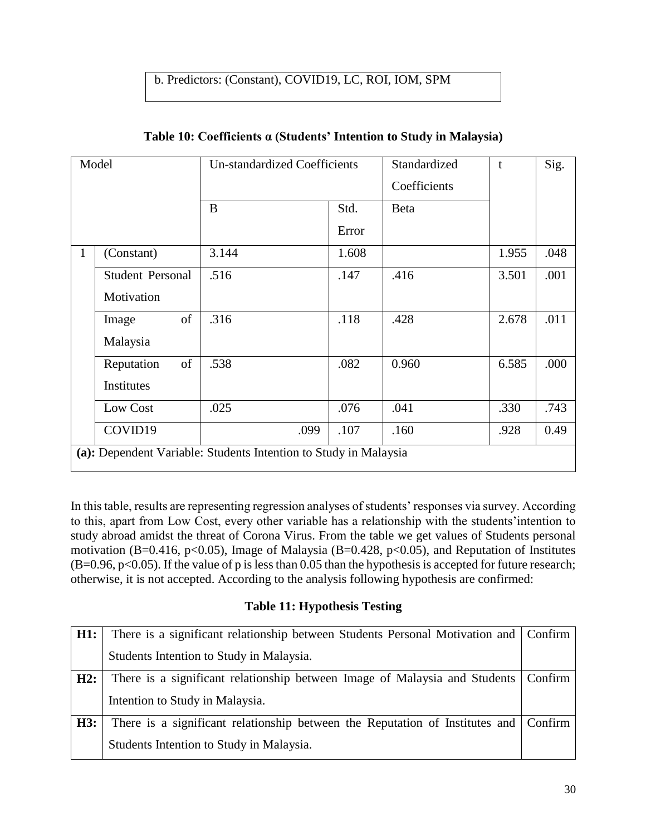# b. Predictors: (Constant), COVID19, LC, ROI, IOM, SPM

| Model        |                                                                  | <b>Un-standardized Coefficients</b> |       | Standardized<br>Coefficients | t     | Sig. |  |  |
|--------------|------------------------------------------------------------------|-------------------------------------|-------|------------------------------|-------|------|--|--|
|              |                                                                  | B                                   | Std.  | <b>Beta</b>                  |       |      |  |  |
|              |                                                                  |                                     | Error |                              |       |      |  |  |
| $\mathbf{1}$ | (Constant)                                                       | 3.144                               | 1.608 |                              | 1.955 | .048 |  |  |
|              | <b>Student Personal</b>                                          | .516                                | .147  | .416                         | 3.501 | .001 |  |  |
|              | Motivation                                                       |                                     |       |                              |       |      |  |  |
|              | of<br>Image                                                      | .316                                | .118  | .428                         | 2.678 | .011 |  |  |
|              | Malaysia                                                         |                                     |       |                              |       |      |  |  |
|              | of<br>Reputation                                                 | .538                                | .082  | 0.960                        | 6.585 | .000 |  |  |
|              | Institutes                                                       |                                     |       |                              |       |      |  |  |
|              | Low Cost                                                         | .025                                | .076  | .041                         | .330  | .743 |  |  |
|              | COVID19                                                          | .099                                | .107  | .160                         | .928  | 0.49 |  |  |
|              | (a): Dependent Variable: Students Intention to Study in Malaysia |                                     |       |                              |       |      |  |  |

## **Table 10: Coefficients α (Students' Intention to Study in Malaysia)**

In this table, results are representing regression analyses of students' responses via survey. According to this, apart from Low Cost, every other variable has a relationship with the students'intention to study abroad amidst the threat of Corona Virus. From the table we get values of Students personal motivation (B=0.416, p<0.05), Image of Malaysia (B=0.428, p<0.05), and Reputation of Institutes  $(B=0.96, p<0.05)$ . If the value of p is less than 0.05 than the hypothesis is accepted for future research; otherwise, it is not accepted. According to the analysis following hypothesis are confirmed:

## **Table 11: Hypothesis Testing**

| H1: | There is a significant relationship between Students Personal Motivation and Confirm |         |
|-----|--------------------------------------------------------------------------------------|---------|
|     | Students Intention to Study in Malaysia.                                             |         |
| H2: | There is a significant relationship between Image of Malaysia and Students           | Confirm |
|     | Intention to Study in Malaysia.                                                      |         |
| H3: | There is a significant relationship between the Reputation of Institutes and Confirm |         |
|     | Students Intention to Study in Malaysia.                                             |         |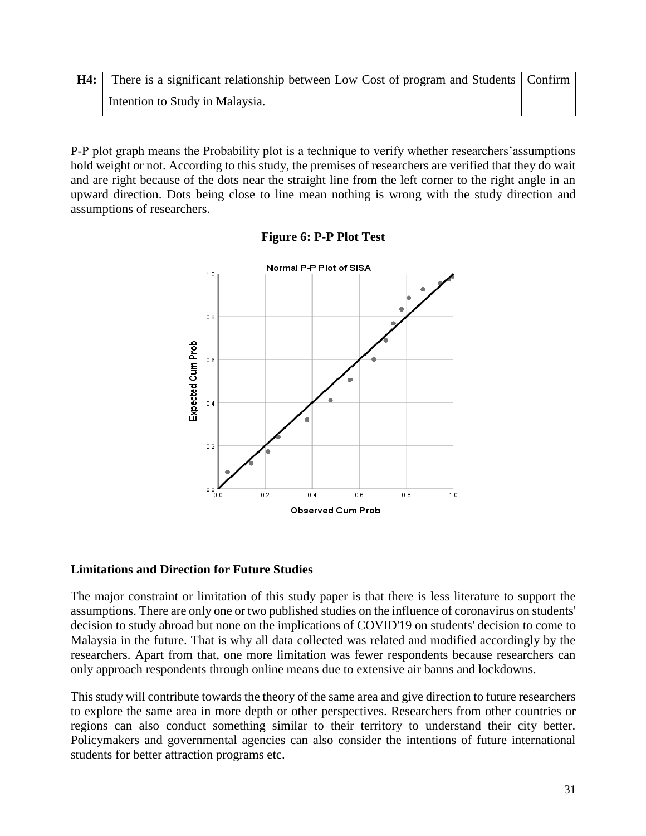| H4: | There is a significant relationship between Low Cost of program and Students   Confirm |  |
|-----|----------------------------------------------------------------------------------------|--|
|     | Intention to Study in Malaysia.                                                        |  |

P-P plot graph means the Probability plot is a technique to verify whether researchers'assumptions hold weight or not. According to this study, the premises of researchers are verified that they do wait and are right because of the dots near the straight line from the left corner to the right angle in an upward direction. Dots being close to line mean nothing is wrong with the study direction and assumptions of researchers.



#### **Figure 6: P-P Plot Test**

#### **Limitations and Direction for Future Studies**

The major constraint or limitation of this study paper is that there is less literature to support the assumptions. There are only one or two published studies on the influence of coronavirus on students' decision to study abroad but none on the implications of COVID'19 on students' decision to come to Malaysia in the future. That is why all data collected was related and modified accordingly by the researchers. Apart from that, one more limitation was fewer respondents because researchers can only approach respondents through online means due to extensive air banns and lockdowns.

This study will contribute towards the theory of the same area and give direction to future researchers to explore the same area in more depth or other perspectives. Researchers from other countries or regions can also conduct something similar to their territory to understand their city better. Policymakers and governmental agencies can also consider the intentions of future international students for better attraction programs etc.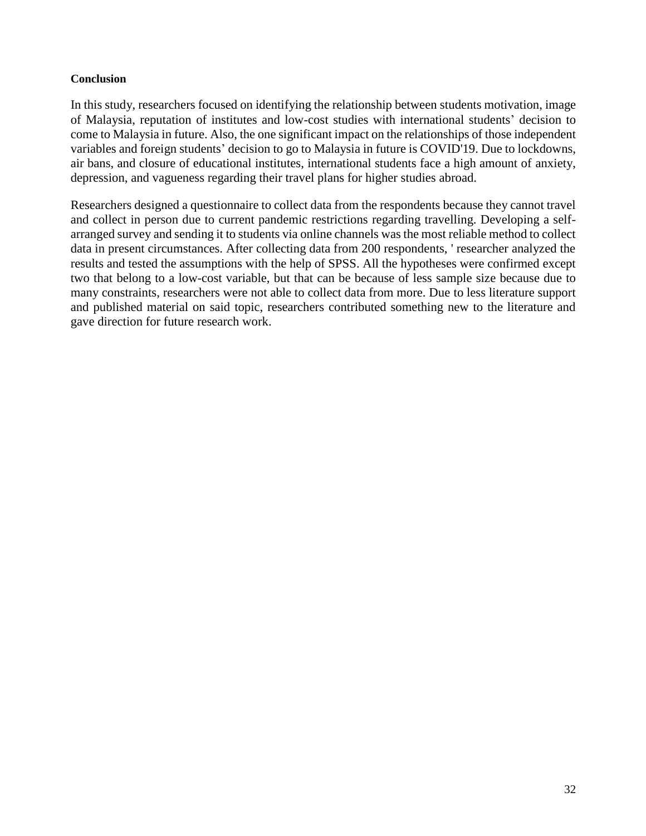#### **Conclusion**

In this study, researchers focused on identifying the relationship between students motivation, image of Malaysia, reputation of institutes and low-cost studies with international students' decision to come to Malaysia in future. Also, the one significant impact on the relationships of those independent variables and foreign students' decision to go to Malaysia in future is COVID'19. Due to lockdowns, air bans, and closure of educational institutes, international students face a high amount of anxiety, depression, and vagueness regarding their travel plans for higher studies abroad.

Researchers designed a questionnaire to collect data from the respondents because they cannot travel and collect in person due to current pandemic restrictions regarding travelling. Developing a selfarranged survey and sending it to students via online channels was the most reliable method to collect data in present circumstances. After collecting data from 200 respondents, ' researcher analyzed the results and tested the assumptions with the help of SPSS. All the hypotheses were confirmed except two that belong to a low-cost variable, but that can be because of less sample size because due to many constraints, researchers were not able to collect data from more. Due to less literature support and published material on said topic, researchers contributed something new to the literature and gave direction for future research work.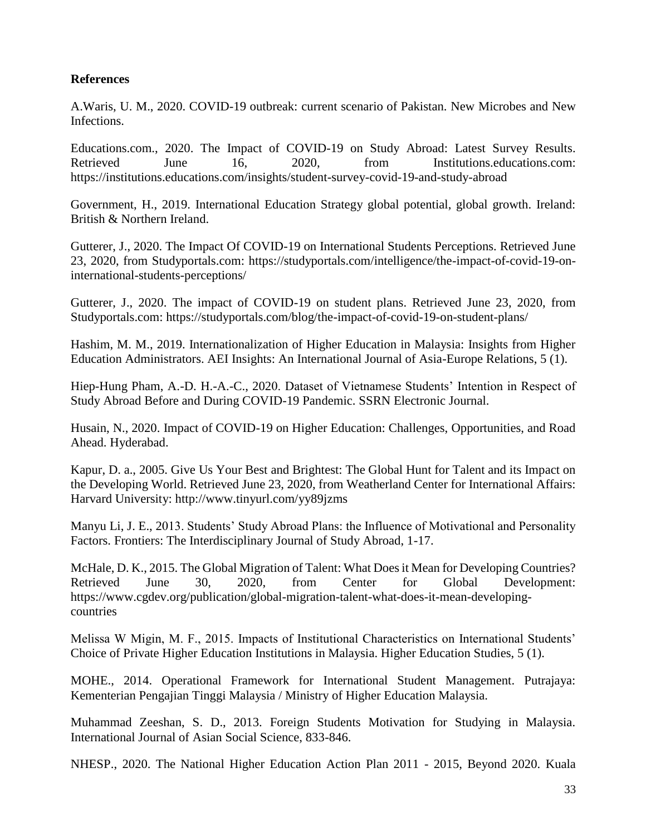## **References**

A.Waris, U. M., 2020. COVID-19 outbreak: current scenario of Pakistan. New Microbes and New Infections.

Educations.com., 2020. The Impact of COVID-19 on Study Abroad: Latest Survey Results. Retrieved June 16, 2020, from Institutions.educations.com: https://institutions.educations.com/insights/student-survey-covid-19-and-study-abroad

Government, H., 2019. International Education Strategy global potential, global growth. Ireland: British & Northern Ireland.

Gutterer, J., 2020. The Impact Of COVID-19 on International Students Perceptions. Retrieved June 23, 2020, from Studyportals.com: https://studyportals.com/intelligence/the-impact-of-covid-19-oninternational-students-perceptions/

Gutterer, J., 2020. The impact of COVID-19 on student plans. Retrieved June 23, 2020, from Studyportals.com: https://studyportals.com/blog/the-impact-of-covid-19-on-student-plans/

Hashim, M. M., 2019. Internationalization of Higher Education in Malaysia: Insights from Higher Education Administrators. AEI Insights: An International Journal of Asia-Europe Relations, 5 (1).

Hiep-Hung Pham, A.-D. H.-A.-C., 2020. Dataset of Vietnamese Students' Intention in Respect of Study Abroad Before and During COVID-19 Pandemic. SSRN Electronic Journal.

Husain, N., 2020. Impact of COVID-19 on Higher Education: Challenges, Opportunities, and Road Ahead. Hyderabad.

Kapur, D. a., 2005. Give Us Your Best and Brightest: The Global Hunt for Talent and its Impact on the Developing World. Retrieved June 23, 2020, from Weatherland Center for International Affairs: Harvard University: http://www.tinyurl.com/yy89jzms

Manyu Li, J. E., 2013. Students' Study Abroad Plans: the Influence of Motivational and Personality Factors. Frontiers: The Interdisciplinary Journal of Study Abroad, 1-17.

McHale, D. K., 2015. The Global Migration of Talent: What Does it Mean for Developing Countries? Retrieved June 30, 2020, from Center for Global Development: https://www.cgdev.org/publication/global-migration-talent-what-does-it-mean-developingcountries

Melissa W Migin, M. F., 2015. Impacts of Institutional Characteristics on International Students' Choice of Private Higher Education Institutions in Malaysia. Higher Education Studies, 5 (1).

MOHE., 2014. Operational Framework for International Student Management. Putrajaya: Kementerian Pengajian Tinggi Malaysia / Ministry of Higher Education Malaysia.

Muhammad Zeeshan, S. D., 2013. Foreign Students Motivation for Studying in Malaysia. International Journal of Asian Social Science, 833-846.

NHESP., 2020. The National Higher Education Action Plan 2011 - 2015, Beyond 2020. Kuala